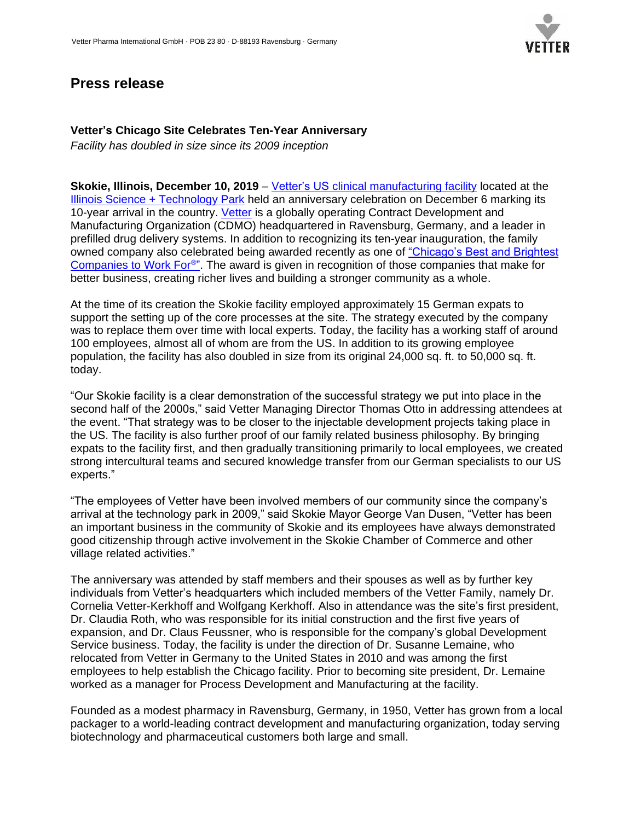

## **Press release**

## **Vetter's Chicago Site Celebrates Ten-Year Anniversary**

*Facility has doubled in size since its 2009 inception*

**Skokie, Illinois, December 10, 2019** – [Vetter's US clinical manufacturing facility](https://www.vetter-pharma.com/en/clinical-manufacturing-us) located at the [Illinois Science + Technology Park](http://istp.tech/) held an anniversary celebration on December 6 marking its 10-year arrival in the country. [Vetter](https://www.vetter-pharma.com/en) is a globally operating Contract Development and Manufacturing Organization (CDMO) headquartered in Ravensburg, Germany, and a leader in prefilled drug delivery systems. In addition to recognizing its ten-year inauguration, the family owned company also celebrated being awarded recently as one of ["Chicago's Best and Brightest](https://www.vetter-pharma.com/en/news-media/news/vetter-chicago-site-wins-award)  [Companies to Work For](https://www.vetter-pharma.com/en/news-media/news/vetter-chicago-site-wins-award)®". The award is given in recognition of those companies that make for better business, creating richer lives and building a stronger community as a whole.

At the time of its creation the Skokie facility employed approximately 15 German expats to support the setting up of the core processes at the site. The strategy executed by the company was to replace them over time with local experts. Today, the facility has a working staff of around 100 employees, almost all of whom are from the US. In addition to its growing employee population, the facility has also doubled in size from its original 24,000 sq. ft. to 50,000 sq. ft. today.

"Our Skokie facility is a clear demonstration of the successful strategy we put into place in the second half of the 2000s," said Vetter Managing Director Thomas Otto in addressing attendees at the event. "That strategy was to be closer to the injectable development projects taking place in the US. The facility is also further proof of our family related business philosophy. By bringing expats to the facility first, and then gradually transitioning primarily to local employees, we created strong intercultural teams and secured knowledge transfer from our German specialists to our US experts."

"The employees of Vetter have been involved members of our community since the company's arrival at the technology park in 2009," said Skokie Mayor George Van Dusen, "Vetter has been an important business in the community of Skokie and its employees have always demonstrated good citizenship through active involvement in the Skokie Chamber of Commerce and other village related activities."

The anniversary was attended by staff members and their spouses as well as by further key individuals from Vetter's headquarters which included members of the Vetter Family, namely Dr. Cornelia Vetter-Kerkhoff and Wolfgang Kerkhoff. Also in attendance was the site's first president, Dr. Claudia Roth, who was responsible for its initial construction and the first five years of expansion, and Dr. Claus Feussner, who is responsible for the company's global Development Service business. Today, the facility is under the direction of Dr. Susanne Lemaine, who relocated from Vetter in Germany to the United States in 2010 and was among the first employees to help establish the Chicago facility. Prior to becoming site president, Dr. Lemaine worked as a manager for Process Development and Manufacturing at the facility.

Founded as a modest pharmacy in Ravensburg, Germany, in 1950, Vetter has grown from a local packager to a world-leading contract development and manufacturing organization, today serving biotechnology and pharmaceutical customers both large and small.